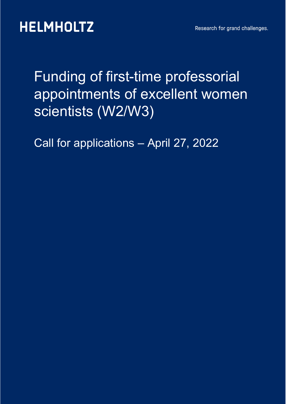## Funding of first-time professorial appointments of excellent women scientists (W2/W3)

Call for applications – April 27, 2022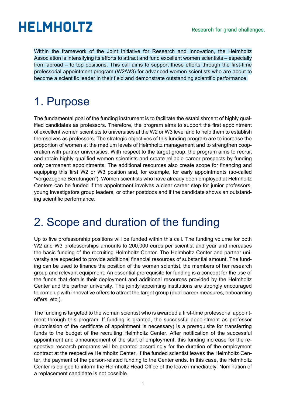Within the framework of the Joint Initiative for Research and Innovation, the Helmholtz Association is intensifying its efforts to attract and fund excellent women scientists – especially from abroad – to top positions. This call aims to support these efforts through the first-time professorial appointment program (W2/W3) for advanced women scientists who are about to become a scientific leader in their field and demonstrate outstanding scientific performance.

## 1. Purpose

The fundamental goal of the funding instrument is to facilitate the establishment of highly qualified candidates as professors. Therefore, the program aims to support the first appointment of excellent women scientists to universities at the W2 or W3 level and to help them to establish themselves as professors. The strategic objectives of this funding program are to increase the proportion of women at the medium levels of Helmholtz management and to strengthen cooperation with partner universities. With respect to the target group, the program aims to recruit and retain highly qualified women scientists and create reliable career prospects by funding only permanent appointments. The additional resources also create scope for financing and equipping this first W2 or W3 position and, for example, for early appointments (so-called "vorgezogene Berufungen"). Women scientists who have already been employed at Helmholtz Centers can be funded if the appointment involves a clear career step for junior professors, young investigators group leaders, or other postdocs and if the candidate shows an outstanding scientific performance.

### 2. Scope and duration of the funding

Up to five professorship positions will be funded within this call. The funding volume for both W2 and W3 professorships amounts to 200,000 euros per scientist and year and increases the basic funding of the recruiting Helmholtz Center. The Helmholtz Center and partner university are expected to provide additional financial resources of substantial amount. The funding can be used to finance the position of the woman scientist, the members of her research group and relevant equipment. An essential prerequisite for funding is a concept for the use of the funds that details their deployment and additional resources provided by the Helmholtz Center and the partner university. The jointly appointing institutions are strongly encouraged to come up with innovative offers to attract the target group (dual-career measures, onboarding offers, etc.).

The funding is targeted to the woman scientist who is awarded a first-time professorial appointment through this program. If funding is granted, the successful appointment as professor (submission of the certificate of appointment is necessary) is a prerequisite for transferring funds to the budget of the recruiting Helmholtz Center. After notification of the successful appointment and announcement of the start of employment, this funding increase for the respective research programs will be granted accordingly for the duration of the employment contract at the respective Helmholtz Center. If the funded scientist leaves the Helmholtz Center, the payment of the person-related funding to the Center ends. In this case, the Helmholtz Center is obliged to inform the Helmholtz Head Office of the leave immediately. Nomination of a replacement candidate is not possible.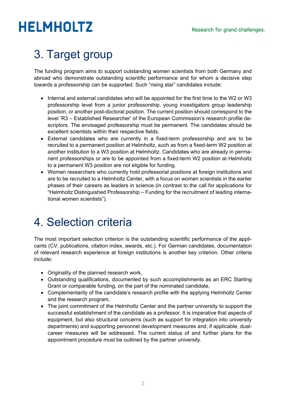## 3. Target group

The funding program aims to support outstanding women scientists from both Germany and abroad who demonstrate outstanding scientific performance and for whom a decisive step towards a professorship can be supported. Such "rising star" candidates include:

- Internal and external candidates who will be appointed for the first time to the W2 or W3 professorship level from a junior professorship, young investigators group leadership position, or another post-doctoral position. The current position should correspond to the level 'R3 – Established Researcher' of the European Commission's research profile descriptors. The envisaged professorship must be permanent. The candidates should be excellent scientists within their respective fields.
- External candidates who are currently in a fixed-term professorship and are to be recruited to a permanent position at Helmholtz, such as from a fixed-term W2 position at another institution to a W3 position at Helmholtz. Candidates who are already in permanent professorships or are to be appointed from a fixed-term W2 position at Helmholtz to a permanent W3 position are not eligible for funding.
- Women researchers who currently hold professorial positions at foreign institutions and are to be recruited to a Helmholtz Center, with a focus on women scientists in the earlier phases of their careers as leaders in science (in contrast to the call for applications for "Helmholtz Distinguished Professorship – Funding for the recruitment of leading international women scientists").

### 4. Selection criteria

The most important selection criterion is the outstanding scientific performance of the applicants (CV, publications, citation index, awards, etc.). For German candidates, documentation of relevant research experience at foreign institutions is another key criterion. Other criteria include:

- Originality of the planned research work,
- Outstanding qualifications, documented by such accomplishments as an ERC Starting Grant or comparable funding, on the part of the nominated candidate,
- Complementarity of the candidate's research profile with the applying Helmholtz Center and the research program,
- The joint commitment of the Helmholtz Center and the partner university to support the successful establishment of the candidate as a professor. It is imperative that aspects of equipment, but also structural concerns (such as support for integration into university departments) and supporting personnel development measures and, if applicable, dualcareer measures will be addressed. The current status of and further plans for the appointment procedure must be outlined by the partner university.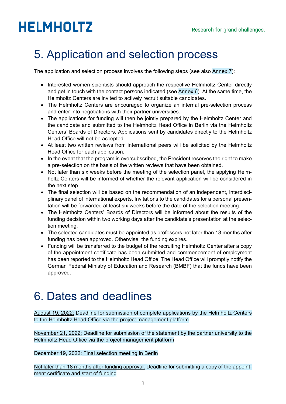## 5. Application and selection process

The application and selection process involves the following steps (see also Annex 7):

- Interested women scientists should approach the respective Helmholtz Center directly and get in touch with the contact persons indicated (see Annex 6). At the same time, the Helmholtz Centers are invited to actively recruit suitable candidates.
- The Helmholtz Centers are encouraged to organize an internal pre-selection process and enter into negotiations with their partner universities.
- The applications for funding will then be jointly prepared by the Helmholtz Center and the candidate and submitted to the Helmholtz Head Office in Berlin via the Helmholtz Centers' Boards of Directors. Applications sent by candidates directly to the Helmholtz Head Office will not be accepted.
- At least two written reviews from international peers will be solicited by the Helmholtz Head Office for each application.
- In the event that the program is oversubscribed, the President reserves the right to make a pre-selection on the basis of the written reviews that have been obtained.
- Not later than six weeks before the meeting of the selection panel, the applying Helmholtz Centers will be informed of whether the relevant application will be considered in the next step.
- The final selection will be based on the recommendation of an independent, interdisciplinary panel of international experts. Invitations to the candidates for a personal presentation will be forwarded at least six weeks before the date of the selection meeting.
- The Helmholtz Centers' Boards of Directors will be informed about the results of the funding decision within two working days after the candidate's presentation at the selection meeting.
- The selected candidates must be appointed as professors not later than 18 months after funding has been approved. Otherwise, the funding expires.
- Funding will be transferred to the budget of the recruiting Helmholtz Center after a copy of the appointment certificate has been submitted and commencement of employment has been reported to the Helmholtz Head Office. The Head Office will promptly notify the German Federal Ministry of Education and Research (BMBF) that the funds have been approved.

## 6. Dates and deadlines

August 19, 2022: Deadline for submission of complete applications by the Helmholtz Centers to the Helmholtz Head Office via the project management platform

November 21, 2022: Deadline for submission of the statement by the partner university to the Helmholtz Head Office via the project management platform

December 19, 2022: Final selection meeting in Berlin

Not later than 18 months after funding approval: Deadline for submitting a copy of the appointment certificate and start of funding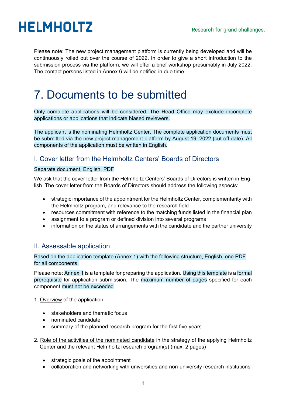Please note: The new project management platform is currently being developed and will be continuously rolled out over the course of 2022. In order to give a short introduction to the submission process via the platform, we will offer a brief workshop presumably in July 2022. The contact persons listed in Annex 6 will be notified in due time.

### 7. Documents to be submitted

Only complete applications will be considered. The Head Office may exclude incomplete applications or applications that indicate biased reviewers.

The applicant is the nominating Helmholtz Center. The complete application documents must be submitted via the new project management platform by August 19, 2022 (cut-off date). All components of the application must be written in English.

### I. Cover letter from the Helmholtz Centers' Boards of Directors

#### Separate document, English, PDF

We ask that the cover letter from the Helmholtz Centers' Boards of Directors is written in English. The cover letter from the Boards of Directors should address the following aspects:

- strategic importance of the appointment for the Helmholtz Center, complementarity with the Helmholtz program, and relevance to the research field
- resources commitment with reference to the matching funds listed in the financial plan
- assignment to a program or defined division into several programs
- information on the status of arrangements with the candidate and the partner university

### II. Assessable application

Based on the application template (Annex 1) with the following structure, English, one PDF for all components.

Please note: Annex 1 is a template for preparing the application. Using this template is a formal prerequisite for application submission. The maximum number of pages specified for each component must not be exceeded.

#### 1. Overview of the application

- stakeholders and thematic focus
- nominated candidate
- summary of the planned research program for the first five years
- 2. Role of the activities of the nominated candidate in the strategy of the applying Helmholtz Center and the relevant Helmholtz research program(s) (max. 2 pages)
	- strategic goals of the appointment
	- collaboration and networking with universities and non-university research institutions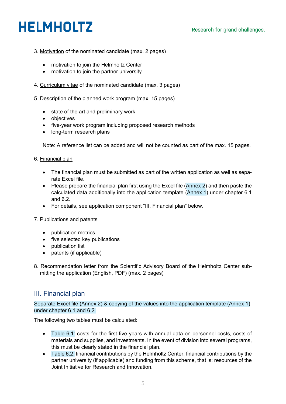- 3. Motivation of the nominated candidate (max. 2 pages)
	- motivation to join the Helmholtz Center
	- motivation to join the partner university
- 4. Curriculum vitae of the nominated candidate (max. 3 pages)
- 5. Description of the planned work program (max. 15 pages)
	- state of the art and preliminary work
	- objectives
	- five-year work program including proposed research methods
	- long-term research plans

Note: A reference list can be added and will not be counted as part of the max. 15 pages.

#### 6. Financial plan

- The financial plan must be submitted as part of the written application as well as separate Excel file.
- Please prepare the financial plan first using the Excel file (Annex 2) and then paste the calculated data additionally into the application template (Annex 1) under chapter 6.1 and 6.2.
- For details, see application component "III. Financial plan" below.

#### 7. Publications and patents

- publication metrics
- five selected key publications
- publication list
- patents (if applicable)
- 8. Recommendation letter from the Scientific Advisory Board of the Helmholtz Center sub mitting the application (English, PDF) (max. 2 pages)

### III. Financial plan

Separate Excel file (Annex 2) & copying of the values into the application template (Annex 1) under chapter 6.1 and 6.2.

The following two tables must be calculated:

- Table 6.1: costs for the first five years with annual data on personnel costs, costs of materials and supplies, and investments. In the event of division into several programs, this must be clearly stated in the financial plan.
- Table 6.2: financial contributions by the Helmholtz Center, financial contributions by the partner university (if applicable) and funding from this scheme, that is: resources of the Joint Initiative for Research and Innovation.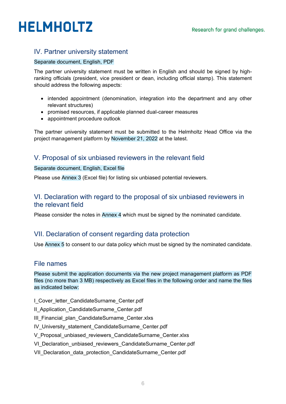### IV. Partner university statement

#### Separate document, English, PDF

The partner university statement must be written in English and should be signed by highranking officials (president, vice president or dean, including official stamp). This statement should address the following aspects:

- intended appointment (denomination, integration into the department and any other relevant structures)
- promised resources, if applicable planned dual-career measures
- appointment procedure outlook

The partner university statement must be submitted to the Helmholtz Head Office via the project management platform by November 21, 2022 at the latest.

### V. Proposal of six unbiased reviewers in the relevant field

#### Separate document, English, Excel file

Please use Annex 3 (Excel file) for listing six unbiased potential reviewers.

### VI. Declaration with regard to the proposal of six unbiased reviewers in the relevant field

Please consider the notes in Annex 4 which must be signed by the nominated candidate.

### VII. Declaration of consent regarding data protection

Use Annex 5 to consent to our data policy which must be signed by the nominated candidate.

### File names

Please submit the application documents via the new project management platform as PDF files (no more than 3 MB) respectively as Excel files in the following order and name the files as indicated below:

I Cover letter CandidateSurname Center.pdf

II Application CandidateSurname Center.pdf

III Financial plan CandidateSurname Center.xlxs

IV University statement CandidateSurname Center.pdf

- V Proposal unbiased reviewers CandidateSurname Center.xlxs
- VI\_Declaration\_unbiased\_reviewers\_CandidateSurname\_Center.pdf
- VII Declaration data protection CandidateSurname Center.pdf